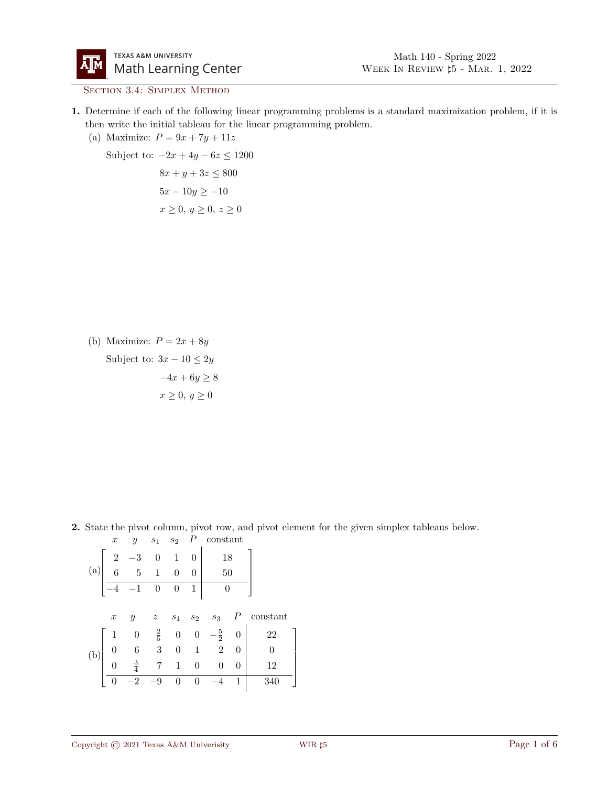

SECTION 3.4: SIMPLEX METHOD

- 1. Determine if each of the following linear programming problems is a standard maximization problem, if it is then write the initial tableau for the linear programming problem.
	- (a) Maximize:  $P = 9x + 7y + 11z$

Subject to:  $-2x + 4y - 6z \le 1200$ 

 $8x + y + 3z \le 800$  $5x - 10y \ge -10$  $x \geq 0, y \geq 0, z \geq 0$ 

(b) Maximize:  $P = 2x + 8y$ Subject to:  $3x - 10 \leq 2y$  $-4x + 6y \ge 8$  $x \geq 0, y \geq 0$ 

2. State the pivot column, pivot row, and pivot element for the given simplex tableaus below.  $x \quad y \quad s_1 \quad s_2 \quad P \quad \text{constant}$ 

(a) 
$$
\begin{bmatrix} 2 & -3 & 0 & 1 & 0 & 18 \\ 6 & 5 & 1 & 0 & 0 & 50 \\ -4 & -1 & 0 & 0 & 1 & 0 \end{bmatrix}
$$
  
  
 $x$   $y$   $z$   $s_1$   $s_2$   $s_3$   $P$  constant  
(b) 
$$
\begin{bmatrix} 1 & 0 & \frac{2}{5} & 0 & 0 & -\frac{5}{2} & 0 & 22 \\ 0 & 6 & 3 & 0 & 1 & 2 & 0 & 0 \\ 0 & \frac{3}{4} & 7 & 1 & 0 & 0 & 0 & 12 \\ \hline 0 & -2 & -9 & 0 & 0 & -4 & 1 & 340 \end{bmatrix}
$$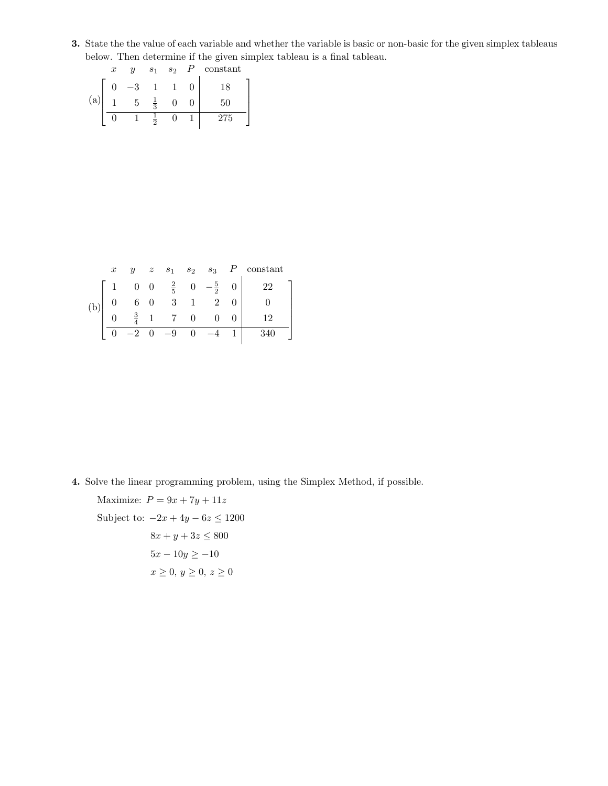3. State the the value of each variable and whether the variable is basic or non-basic for the given simplex tableaus below. Then determine if the given simplex tableau is a final tableau.

|     | $\boldsymbol{x}$ | Y | S <sub>1</sub> | s <sub>2</sub> | constant |  |
|-----|------------------|---|----------------|----------------|----------|--|
|     |                  |   |                |                | 18       |  |
| (a) |                  |   | $\overline{2}$ |                | 50       |  |
|     |                  |   | ິ              |                | 275      |  |

|     | $\boldsymbol{x}$ | $\boldsymbol{y}$ | z | $s_1$                     | $s_2$ $s_3$    |                | $P$ constant |
|-----|------------------|------------------|---|---------------------------|----------------|----------------|--------------|
| (b) |                  | $\overline{0}$   |   | $x = 0$ $\frac{2}{5}$ (1) | $\overline{2}$ | 0 <sup>1</sup> | 22           |
|     |                  |                  |   | 3                         |                |                |              |
|     |                  | $\frac{3}{4}$    |   |                           |                |                | റ            |
|     |                  |                  |   | $-9$                      |                |                | 340          |

4. Solve the linear programming problem, using the Simplex Method, if possible.

Maximize:  $P = 9x + 7y + 11z$ Subject to:  $-2x + 4y - 6z \le 1200$  $8x + y + 3z \le 800$  $5x - 10y \ge -10$  $x \geq 0, y \geq 0, z \geq 0$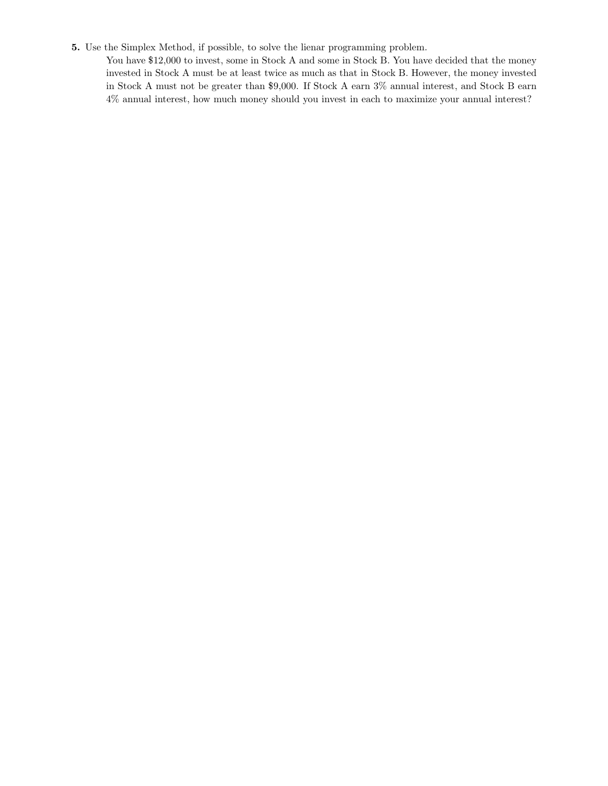## 5. Use the Simplex Method, if possible, to solve the lienar programming problem.

You have \$12,000 to invest, some in Stock A and some in Stock B. You have decided that the money invested in Stock A must be at least twice as much as that in Stock B. However, the money invested in Stock A must not be greater than \$9,000. If Stock A earn 3% annual interest, and Stock B earn 4% annual interest, how much money should you invest in each to maximize your annual interest?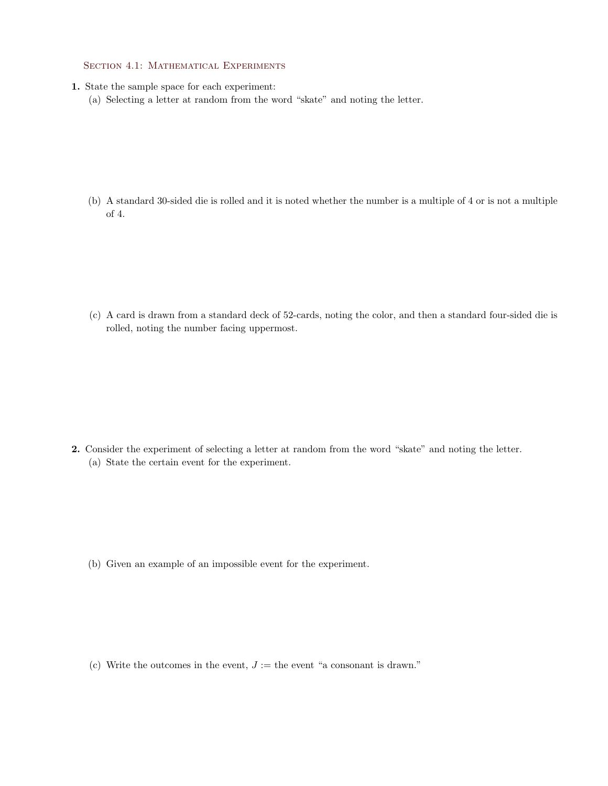## SECTION 4.1: MATHEMATICAL EXPERIMENTS

- 1. State the sample space for each experiment:
	- (a) Selecting a letter at random from the word "skate" and noting the letter.

(b) A standard 30-sided die is rolled and it is noted whether the number is a multiple of 4 or is not a multiple of 4.

(c) A card is drawn from a standard deck of 52-cards, noting the color, and then a standard four-sided die is rolled, noting the number facing uppermost.

2. Consider the experiment of selecting a letter at random from the word "skate" and noting the letter. (a) State the certain event for the experiment.

(b) Given an example of an impossible event for the experiment.

(c) Write the outcomes in the event,  $J :=$  the event "a consonant is drawn."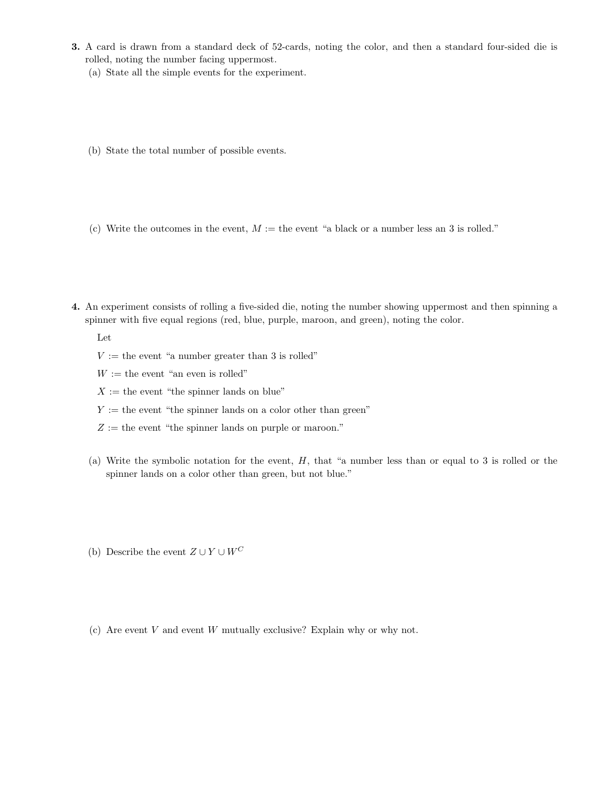- 3. A card is drawn from a standard deck of 52-cards, noting the color, and then a standard four-sided die is rolled, noting the number facing uppermost.
	- (a) State all the simple events for the experiment.
	- (b) State the total number of possible events.
	- (c) Write the outcomes in the event,  $M :=$  the event "a black or a number less an 3 is rolled."
- 4. An experiment consists of rolling a five-sided die, noting the number showing uppermost and then spinning a spinner with five equal regions (red, blue, purple, maroon, and green), noting the color.

Let

- $V :=$  the event "a number greater than 3 is rolled"
- $W :=$  the event "an even is rolled"
- $X :=$  the event "the spinner lands on blue"
- $Y :=$  the event "the spinner lands on a color other than green"
- $Z :=$  the event "the spinner lands on purple or maroon."
- (a) Write the symbolic notation for the event,  $H$ , that "a number less than or equal to 3 is rolled or the spinner lands on a color other than green, but not blue."
- (b) Describe the event  $Z \cup Y \cup W^C$
- (c) Are event  $V$  and event  $W$  mutually exclusive? Explain why or why not.